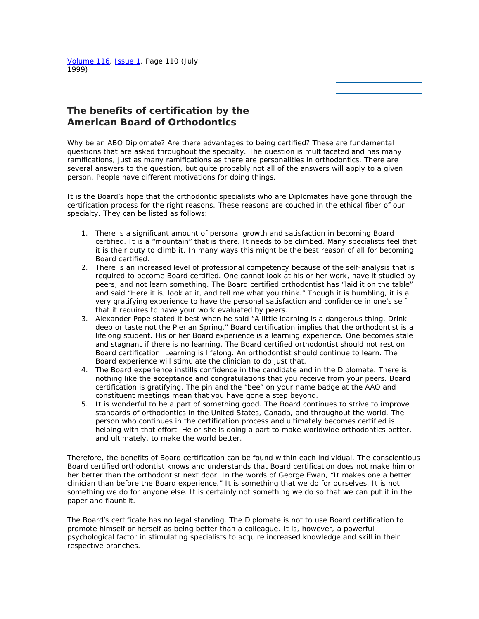[Volume 116](http://www.journals.elsevierhealth.com/periodicals/ymod/issues?Vol=116), [Issue 1,](http://www.journals.elsevierhealth.com/periodicals/ymod/issues/contents?issue_key=TOC@@JOURNALS@YAJOD@0116@0001) Page 110 (July 1999)

## **The benefits of certification by the American Board of Orthodontics**

Why be an ABO Diplomate? Are there advantages to being certified? These are fundamental questions that are asked throughout the specialty. The question is multifaceted and has many ramifications, just as many ramifications as there are personalities in orthodontics. There are several answers to the question, but quite probably not all of the answers will apply to a given person. People have different motivations for doing things.

It is the Board's hope that the orthodontic specialists who are Diplomates have gone through the certification process for the right reasons. These reasons are couched in the ethical fiber of our specialty. They can be listed as follows:

- 1. There is a significant amount of personal growth and satisfaction in becoming Board certified. It is a "mountain" that is there. It needs to be climbed. Many specialists feel that it is their duty to climb it. In many ways this might be the best reason of all for becoming Board certified.
- 2. There is an increased level of professional competency because of the self-analysis that is required to become Board certified. One cannot look at his or her work, have it studied by peers, and not learn something. The Board certified orthodontist has "laid it on the table" and said "Here it is, look at it, and tell me what you think." Though it is humbling, it is a very gratifying experience to have the personal satisfaction and confidence in one's self that it requires to have your work evaluated by peers.
- 3. Alexander Pope stated it best when he said "A little learning is a dangerous thing. Drink deep or taste not the Pierian Spring." Board certification implies that the orthodontist is a lifelong student. His or her Board experience is a learning experience. One becomes stale and stagnant if there is no learning. The Board certified orthodontist should not rest on Board certification. Learning is lifelong. An orthodontist should continue to learn. The Board experience will stimulate the clinician to do just that.
- 4. The Board experience instills confidence in the candidate and in the Diplomate. There is nothing like the acceptance and congratulations that you receive from your peers. Board certification is gratifying. The pin and the "bee" on your name badge at the AAO and constituent meetings mean that you have gone a step beyond.
- 5. It is wonderful to be a part of something good. The Board continues to strive to improve standards of orthodontics in the United States, Canada, and throughout the world. The person who continues in the certification process and ultimately becomes certified is helping with that effort. He or she is doing a part to make worldwide orthodontics better, and ultimately, to make the world better.

Therefore, the benefits of Board certification can be found within each individual. The conscientious Board certified orthodontist knows and understands that Board certification does not make him or her better than the orthodontist next door. In the words of George Ewan, "It makes one a better clinician than before the Board experience." It is something that we do for ourselves. It is not something we do for anyone else. It is certainly not something we do so that we can put it in the paper and flaunt it.

The Board's certificate has no legal standing. The Diplomate is not to use Board certification to promote himself or herself as being better than a colleague. It is, however, a powerful psychological factor in stimulating specialists to acquire increased knowledge and skill in their respective branches.